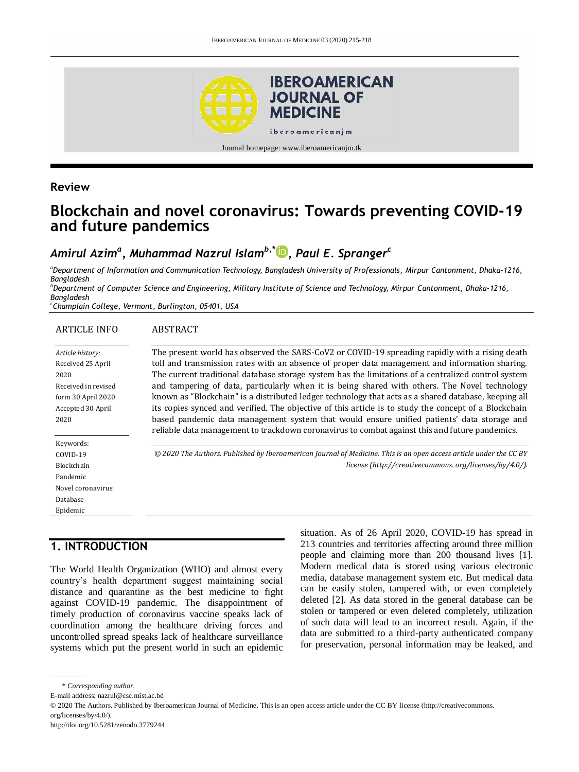

# **Review**

# **Blockchain and novel coronavirus: Towards preventing COVID-19 and future pandemics**

# *Amirul Azim<sup>a</sup> , Muhammad Nazrul Islamb,\* [,](http://orcid.org/0000-0002-7189-4879) Paul E. Spranger<sup>c</sup>*

*<sup>a</sup>Department of Information and Communication Technology, Bangladesh University of Professionals, Mirpur Cantonment, Dhaka-1216, Bangladesh* 

*<sup>b</sup>Department of Computer Science and Engineering, Military Institute of Science and Technology, Mirpur Cantonment, Dhaka-1216, Bangladesh* 

*c Champlain College, Vermont, Burlington, 05401, USA*

#### ARTICLE INFO ABSTRACT

| Article history:    | The present world has observed the SARS-CoV2 or COVID-19 spreading rapidly with a rising death                     |
|---------------------|--------------------------------------------------------------------------------------------------------------------|
| Received 25 April   | toll and transmission rates with an absence of proper data management and information sharing.                     |
| 2020                | The current traditional database storage system has the limitations of a centralized control system                |
| Received in revised | and tampering of data, particularly when it is being shared with others. The Novel technology                      |
| form 30 April 2020  | known as "Blockchain" is a distributed ledger technology that acts as a shared database, keeping all               |
| Accepted 30 April   | its copies synced and verified. The objective of this article is to study the concept of a Blockchain              |
| 2020                | based pandemic data management system that would ensure unified patients' data storage and                         |
|                     | reliable data management to trackdown coronavirus to combat against this and future pandemics.                     |
| Keywords:           |                                                                                                                    |
| COVID-19            | © 2020 The Authors. Published by Iberoamerican Journal of Medicine. This is an open access article under the CC BY |
| Blockchain          | license (http://creativecommons.org/licenses/by/4.0/).                                                             |
| Pandemic            |                                                                                                                    |
| Novel coronavirus   |                                                                                                                    |
| Database            |                                                                                                                    |
| Epidemic            |                                                                                                                    |

# **1. INTRODUCTION**

The World Health Organization (WHO) and almost every country's health department suggest maintaining social distance and quarantine as the best medicine to fight against COVID-19 pandemic. The disappointment of timely production of coronavirus vaccine speaks lack of coordination among the healthcare driving forces and uncontrolled spread speaks lack of healthcare surveillance systems which put the present world in such an epidemic situation. As of 26 April 2020, COVID-19 has spread in 213 countries and territories affecting around three million people and claiming more than 200 thousand lives [1]. Modern medical data is stored using various electronic media, database management system etc. But medical data can be easily stolen, tampered with, or even completely deleted [2]. As data stored in the general database can be stolen or tampered or even deleted completely, utilization of such data will lead to an incorrect result. Again, if the data are submitted to a third-party authenticated company for preservation, personal information may be leaked, and

<sup>\*</sup> *Corresponding author.*

E-mail address: nazrul@cse.mist.ac.bd

<sup>© 2020</sup> The Authors. Published by Iberoamerican Journal of Medicine. This is an open access article under the CC BY license (http://creativecommons. org/licenses/by/4.0/).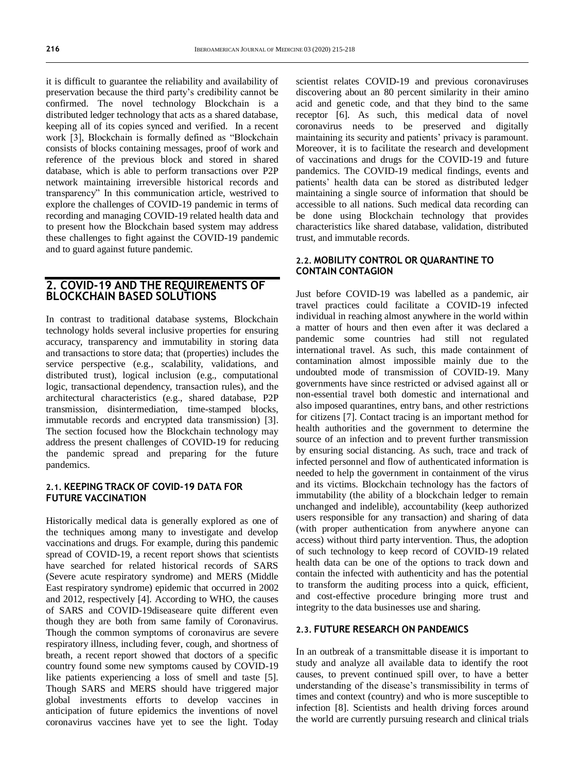it is difficult to guarantee the reliability and availability of preservation because the third party's credibility cannot be confirmed. The novel technology Blockchain is a distributed ledger technology that acts as a shared database, keeping all of its copies synced and verified. In a recent work [3], Blockchain is formally defined as "Blockchain consists of blocks containing messages, proof of work and reference of the previous block and stored in shared database, which is able to perform transactions over P2P network maintaining irreversible historical records and transparency" In this communication article, westrived to explore the challenges of COVID-19 pandemic in terms of recording and managing COVID-19 related health data and to present how the Blockchain based system may address these challenges to fight against the COVID-19 pandemic and to guard against future pandemic.

### **2. COVID-19 AND THE REQUIREMENTS OF BLOCKCHAIN BASED SOLUTIONS**

In contrast to traditional database systems, Blockchain technology holds several inclusive properties for ensuring accuracy, transparency and immutability in storing data and transactions to store data; that (properties) includes the service perspective (e.g., scalability, validations, and distributed trust), logical inclusion (e.g., computational logic, transactional dependency, transaction rules), and the architectural characteristics (e.g., shared database, P2P transmission, disintermediation, time-stamped blocks, immutable records and encrypted data transmission) [3]. The section focused how the Blockchain technology may address the present challenges of COVID-19 for reducing the pandemic spread and preparing for the future pandemics.

### **2.1. KEEPING TRACK OF COVID-19 DATA FOR FUTURE VACCINATION**

Historically medical data is generally explored as one of the techniques among many to investigate and develop vaccinations and drugs. For example, during this pandemic spread of COVID-19, a recent report shows that scientists have searched for related historical records of SARS (Severe acute respiratory syndrome) and MERS (Middle East respiratory syndrome) epidemic that occurred in 2002 and 2012, respectively [4]. According to WHO, the causes of SARS and COVID-19diseaseare quite different even though they are both from same family of Coronavirus. Though the common symptoms of coronavirus are severe respiratory illness, including fever, cough, and shortness of breath, a recent report showed that doctors of a specific country found some new symptoms caused by COVID-19 like patients experiencing a loss of smell and taste [5]. Though SARS and MERS should have triggered major global investments efforts to develop vaccines in anticipation of future epidemics the inventions of novel coronavirus vaccines have yet to see the light. Today

scientist relates COVID-19 and previous coronaviruses discovering about an 80 percent similarity in their amino acid and genetic code, and that they bind to the same receptor [6]. As such, this medical data of novel coronavirus needs to be preserved and digitally maintaining its security and patients' privacy is paramount. Moreover, it is to facilitate the research and development of vaccinations and drugs for the COVID-19 and future pandemics. The COVID-19 medical findings, events and patients' health data can be stored as distributed ledger maintaining a single source of information that should be accessible to all nations. Such medical data recording can be done using Blockchain technology that provides characteristics like shared database, validation, distributed trust, and immutable records.

#### **2.2. MOBILITY CONTROL OR QUARANTINE TO CONTAIN CONTAGION**

Just before COVID-19 was labelled as a pandemic, air travel practices could facilitate a COVID-19 infected individual in reaching almost anywhere in the world within a matter of hours and then even after it was declared a pandemic some countries had still not regulated international travel. As such, this made containment of contamination almost impossible mainly due to the undoubted mode of transmission of COVID-19. Many governments have since restricted or advised against all or non-essential travel both domestic and international and also imposed quarantines, entry bans, and other restrictions for citizens [7]. [Contact tracing](https://en.wikipedia.org/wiki/Contact_tracing) is an important method for health authorities and the government to determine the source of an infection and to prevent further transmission by ensuring social distancing. As such, trace and track of infected personnel and flow of authenticated information is needed to help the government in containment of the virus and its victims. Blockchain technology has the factors of immutability (the ability of a blockchain ledger to remain unchanged and indelible), accountability (keep authorized users responsible for any transaction) and sharing of data (with proper authentication from anywhere anyone can access) without third party intervention. Thus, the adoption of such technology to keep record of COVID-19 related health data can be one of the options to track down and contain the infected with authenticity and has the potential to transform the auditing process into a quick, efficient, and cost-effective procedure bringing more trust and integrity to the data businesses use and sharing.

#### **2.3. FUTURE RESEARCH ON PANDEMICS**

In an outbreak of a transmittable disease it is important to study and analyze all available data to identify the root causes, to prevent continued spill over, to have a better understanding of the disease's transmissibility in terms of times and context (country) and who is more susceptible to infection [8]. Scientists and health driving forces around the world are currently pursuing research and clinical trials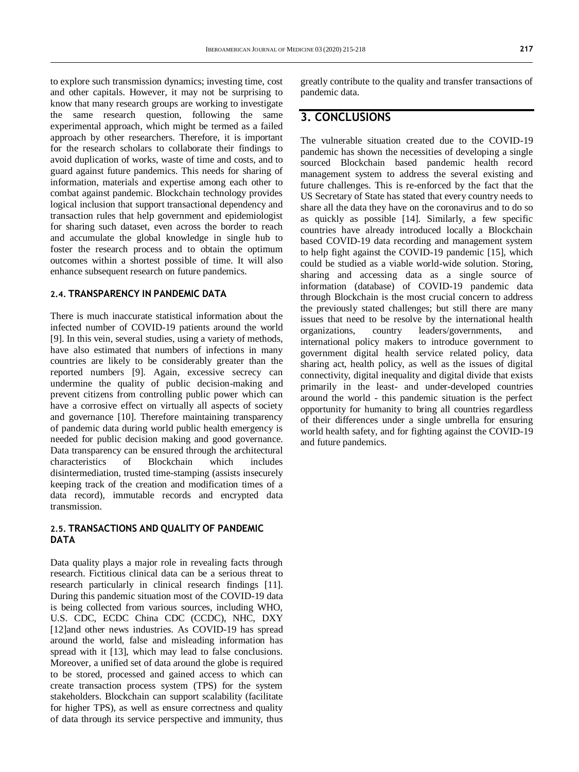to explore such transmission dynamics; investing time, cost and other capitals. However, it may not be surprising to know that many research groups are working to investigate the same research question, following the same experimental approach, which might be termed as a failed approach by other researchers. Therefore, it is important for the research scholars to collaborate their findings to avoid duplication of works, waste of time and costs, and to guard against future pandemics. This needs for sharing of information, materials and expertise among each other to combat against pandemic. Blockchain technology provides logical inclusion that support transactional dependency and transaction rules that help government and epidemiologist for sharing such dataset, even across the border to reach and accumulate the global knowledge in single hub to foster the research process and to obtain the optimum outcomes within a shortest possible of time. It will also enhance subsequent research on future pandemics.

#### **2.4. TRANSPARENCY IN PANDEMIC DATA**

There is much inaccurate statistical information about the infected number of COVID-19 patients around the world [9]. In this vein, several studies, using a variety of methods, have also estimated that numbers of infections in many countries are likely to be considerably greater than the reported numbers [9]. Again, excessive secrecy can undermine the quality of public decision-making and prevent citizens from controlling public power which can have a corrosive effect on virtually all aspects of society and governance [10]. Therefore maintaining transparency of pandemic data during world public health emergency is needed for public decision making and good governance. Data transparency can be ensured through the architectural characteristics of Blockchain which includes disintermediation, trusted time-stamping (assists insecurely keeping track of the creation and modification times of a data record), immutable records and encrypted data transmission.

#### **2.5. TRANSACTIONS AND QUALITY OF PANDEMIC DATA**

Data quality plays a major role in revealing facts through research. Fictitious clinical data can be a serious threat to research particularly in clinical research findings [11]. During this pandemic situation most of the COVID-19 data is being collected from various sources, including WHO, U.S. CDC, ECDC China CDC (CCDC), NHC, DXY [12]and other news industries. As COVID-19 has spread around the world, false and misleading information has spread with it [13], which may lead to false conclusions. Moreover, a unified set of data around the globe is required to be stored, processed and gained access to which can create transaction process system (TPS) for the system stakeholders. Blockchain can support scalability (facilitate for higher TPS), as well as ensure correctness and quality of data through its service perspective and immunity, thus

greatly contribute to the quality and transfer transactions of pandemic data.

# **3. CONCLUSIONS**

The vulnerable situation created due to the COVID-19 pandemic has shown the necessities of developing a single sourced Blockchain based pandemic health record management system to address the several existing and future challenges. This is re-enforced by the fact that the US Secretary of State has stated that every country needs to share all the data they have on the coronavirus and to do so as quickly as possible [14]. Similarly, a few specific countries have already introduced locally a Blockchain based COVID-19 data recording and management system to help fight against the COVID-19 pandemic [15], which could be studied as a viable world-wide solution. Storing, sharing and accessing data as a single source of information (database) of COVID-19 pandemic data through Blockchain is the most crucial concern to address the previously stated challenges; but still there are many issues that need to be resolve by the international health organizations, country leaders/governments, and international policy makers to introduce government to government digital health service related policy, data sharing act, health policy, as well as the issues of digital connectivity, digital inequality and digital divide that exists primarily in the least- and under-developed countries around the world - this pandemic situation is the perfect opportunity for humanity to bring all countries regardless of their differences under a single umbrella for ensuring world health safety, and for fighting against the COVID-19 and future pandemics.